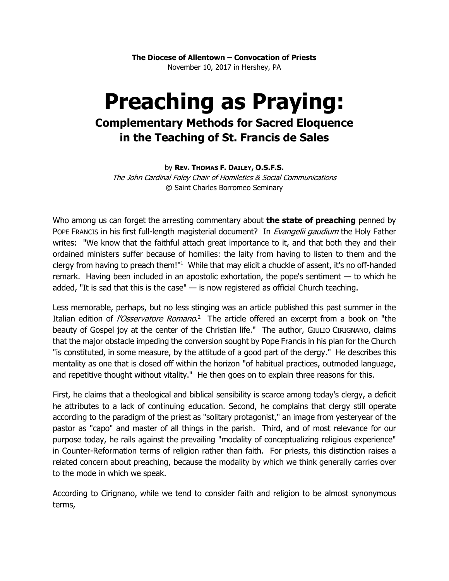**The Diocese of Allentown – Convocation of Priests** November 10, 2017 in Hershey, PA

## **Preaching as Praying: Complementary Methods for Sacred Eloquence in the Teaching of St. Francis de Sales**

## by **REV. THOMAS F. DAILEY, O.S.F.S.**

The John Cardinal Foley Chair of Homiletics & Social Communications @ Saint Charles Borromeo Seminary

Who among us can forget the arresting commentary about **the state of preaching** penned by POPE FRANCIS in his first full-length magisterial document? In *Evangelii gaudium* the Holy Father writes: "We know that the faithful attach great importance to it, and that both they and their ordained ministers suffer because of homilies: the laity from having to listen to them and the clergy from having to preach them!"<sup>1</sup> While that may elicit a chuckle of assent, it's no off-handed remark. Having been included in an apostolic exhortation, the pope's sentiment — to which he added, "It is sad that this is the case"  $-$  is now registered as official Church teaching.

Less memorable, perhaps, but no less stinging was an article published this past summer in the Italian edition of *l'Osservatore Romano*.<sup>2</sup> The article offered an excerpt from a book on "the beauty of Gospel joy at the center of the Christian life." The author, GIULIO CIRIGNANO, claims that the major obstacle impeding the conversion sought by Pope Francis in his plan for the Church "is constituted, in some measure, by the attitude of a good part of the clergy." He describes this mentality as one that is closed off within the horizon "of habitual practices, outmoded language, and repetitive thought without vitality." He then goes on to explain three reasons for this.

First, he claims that a theological and biblical sensibility is scarce among today's clergy, a deficit he attributes to a lack of continuing education. Second, he complains that clergy still operate according to the paradigm of the priest as "solitary protagonist," an image from yesteryear of the pastor as "capo" and master of all things in the parish. Third, and of most relevance for our purpose today, he rails against the prevailing "modality of conceptualizing religious experience" in Counter-Reformation terms of religion rather than faith. For priests, this distinction raises a related concern about preaching, because the modality by which we think generally carries over to the mode in which we speak.

According to Cirignano, while we tend to consider faith and religion to be almost synonymous terms,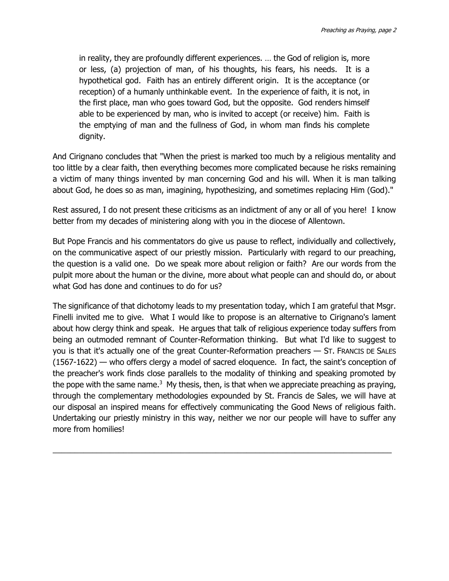in reality, they are profoundly different experiences. … the God of religion is, more or less, (a) projection of man, of his thoughts, his fears, his needs. It is a hypothetical god. Faith has an entirely different origin. It is the acceptance (or reception) of a humanly unthinkable event. In the experience of faith, it is not, in the first place, man who goes toward God, but the opposite. God renders himself able to be experienced by man, who is invited to accept (or receive) him. Faith is the emptying of man and the fullness of God, in whom man finds his complete dignity.

And Cirignano concludes that "When the priest is marked too much by a religious mentality and too little by a clear faith, then everything becomes more complicated because he risks remaining a victim of many things invented by man concerning God and his will. When it is man talking about God, he does so as man, imagining, hypothesizing, and sometimes replacing Him (God)."

Rest assured, I do not present these criticisms as an indictment of any or all of you here! I know better from my decades of ministering along with you in the diocese of Allentown.

But Pope Francis and his commentators do give us pause to reflect, individually and collectively, on the communicative aspect of our priestly mission. Particularly with regard to our preaching, the question is a valid one. Do we speak more about religion or faith? Are our words from the pulpit more about the human or the divine, more about what people can and should do, or about what God has done and continues to do for us?

The significance of that dichotomy leads to my presentation today, which I am grateful that Msgr. Finelli invited me to give. What I would like to propose is an alternative to Cirignano's lament about how clergy think and speak. He argues that talk of religious experience today suffers from being an outmoded remnant of Counter-Reformation thinking. But what I'd like to suggest to you is that it's actually one of the great Counter-Reformation preachers — ST. FRANCIS DE SALES (1567-1622) — who offers clergy a model of sacred eloquence. In fact, the saint's conception of the preacher's work finds close parallels to the modality of thinking and speaking promoted by the pope with the same name.<sup>3</sup> My thesis, then, is that when we appreciate preaching as praying, through the complementary methodologies expounded by St. Francis de Sales, we will have at our disposal an inspired means for effectively communicating the Good News of religious faith. Undertaking our priestly ministry in this way, neither we nor our people will have to suffer any more from homilies!

\_\_\_\_\_\_\_\_\_\_\_\_\_\_\_\_\_\_\_\_\_\_\_\_\_\_\_\_\_\_\_\_\_\_\_\_\_\_\_\_\_\_\_\_\_\_\_\_\_\_\_\_\_\_\_\_\_\_\_\_\_\_\_\_\_\_\_\_\_\_\_\_\_\_\_\_\_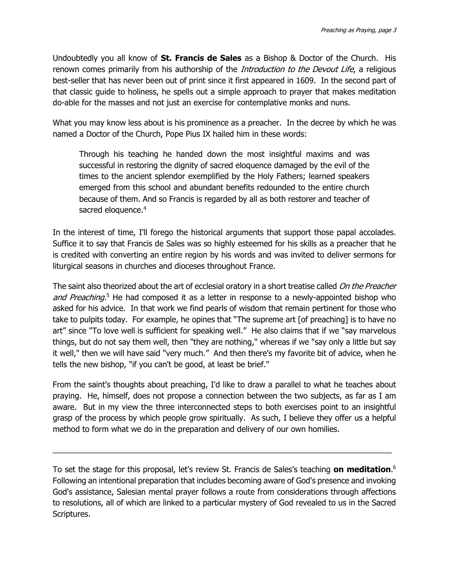Undoubtedly you all know of **St. Francis de Sales** as a Bishop & Doctor of the Church. His renown comes primarily from his authorship of the *Introduction to the Devout Life*, a religious best-seller that has never been out of print since it first appeared in 1609. In the second part of that classic guide to holiness, he spells out a simple approach to prayer that makes meditation do-able for the masses and not just an exercise for contemplative monks and nuns.

What you may know less about is his prominence as a preacher. In the decree by which he was named a Doctor of the Church, Pope Pius IX hailed him in these words:

Through his teaching he handed down the most insightful maxims and was successful in restoring the dignity of sacred eloquence damaged by the evil of the times to the ancient splendor exemplified by the Holy Fathers; learned speakers emerged from this school and abundant benefits redounded to the entire church because of them. And so Francis is regarded by all as both restorer and teacher of sacred eloquence.<sup>4</sup>

In the interest of time, I'll forego the historical arguments that support those papal accolades. Suffice it to say that Francis de Sales was so highly esteemed for his skills as a preacher that he is credited with converting an entire region by his words and was invited to deliver sermons for liturgical seasons in churches and dioceses throughout France.

The saint also theorized about the art of ecclesial oratory in a short treatise called On the Preacher and Preaching.<sup>5</sup> He had composed it as a letter in response to a newly-appointed bishop who asked for his advice. In that work we find pearls of wisdom that remain pertinent for those who take to pulpits today. For example, he opines that "The supreme art [of preaching] is to have no art" since "To love well is sufficient for speaking well." He also claims that if we "say marvelous things, but do not say them well, then "they are nothing," whereas if we "say only a little but say it well," then we will have said "very much." And then there's my favorite bit of advice, when he tells the new bishop, "if you can't be good, at least be brief."

From the saint's thoughts about preaching, I'd like to draw a parallel to what he teaches about praying. He, himself, does not propose a connection between the two subjects, as far as I am aware. But in my view the three interconnected steps to both exercises point to an insightful grasp of the process by which people grow spiritually. As such, I believe they offer us a helpful method to form what we do in the preparation and delivery of our own homilies.

To set the stage for this proposal, let's review St. Francis de Sales's teaching **on meditation**. 6 Following an intentional preparation that includes becoming aware of God's presence and invoking God's assistance, Salesian mental prayer follows a route from considerations through affections to resolutions, all of which are linked to a particular mystery of God revealed to us in the Sacred Scriptures.

\_\_\_\_\_\_\_\_\_\_\_\_\_\_\_\_\_\_\_\_\_\_\_\_\_\_\_\_\_\_\_\_\_\_\_\_\_\_\_\_\_\_\_\_\_\_\_\_\_\_\_\_\_\_\_\_\_\_\_\_\_\_\_\_\_\_\_\_\_\_\_\_\_\_\_\_\_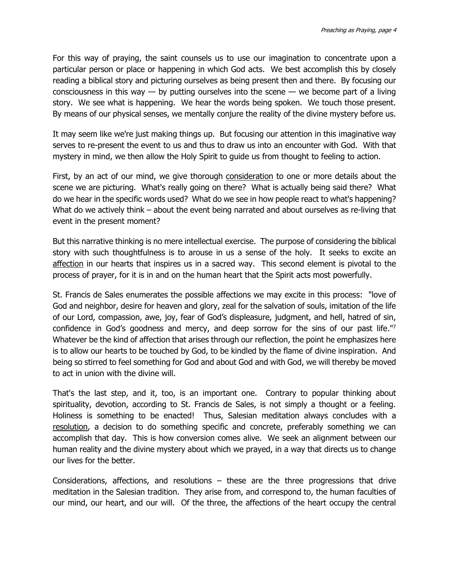For this way of praying, the saint counsels us to use our imagination to concentrate upon a particular person or place or happening in which God acts. We best accomplish this by closely reading a biblical story and picturing ourselves as being present then and there. By focusing our consciousness in this way  $-$  by putting ourselves into the scene  $-$  we become part of a living story. We see what is happening. We hear the words being spoken. We touch those present. By means of our physical senses, we mentally conjure the reality of the divine mystery before us.

It may seem like we're just making things up. But focusing our attention in this imaginative way serves to re-present the event to us and thus to draw us into an encounter with God. With that mystery in mind, we then allow the Holy Spirit to guide us from thought to feeling to action.

First, by an act of our mind, we give thorough **consideration** to one or more details about the scene we are picturing. What's really going on there? What is actually being said there? What do we hear in the specific words used? What do we see in how people react to what's happening? What do we actively think – about the event being narrated and about ourselves as re-living that event in the present moment?

But this narrative thinking is no mere intellectual exercise. The purpose of considering the biblical story with such thoughtfulness is to arouse in us a sense of the holy. It seeks to excite an affection in our hearts that inspires us in a sacred way. This second element is pivotal to the process of prayer, for it is in and on the human heart that the Spirit acts most powerfully.

St. Francis de Sales enumerates the possible affections we may excite in this process: "love of God and neighbor, desire for heaven and glory, zeal for the salvation of souls, imitation of the life of our Lord, compassion, awe, joy, fear of God's displeasure, judgment, and hell, hatred of sin, confidence in God's goodness and mercy, and deep sorrow for the sins of our past life."<sup>7</sup> Whatever be the kind of affection that arises through our reflection, the point he emphasizes here is to allow our hearts to be touched by God, to be kindled by the flame of divine inspiration. And being so stirred to feel something for God and about God and with God, we will thereby be moved to act in union with the divine will.

That's the last step, and it, too, is an important one. Contrary to popular thinking about spirituality, devotion, according to St. Francis de Sales, is not simply a thought or a feeling. Holiness is something to be enacted! Thus, Salesian meditation always concludes with a resolution, a decision to do something specific and concrete, preferably something we can accomplish that day. This is how conversion comes alive. We seek an alignment between our human reality and the divine mystery about which we prayed, in a way that directs us to change our lives for the better.

Considerations, affections, and resolutions – these are the three progressions that drive meditation in the Salesian tradition. They arise from, and correspond to, the human faculties of our mind, our heart, and our will. Of the three, the affections of the heart occupy the central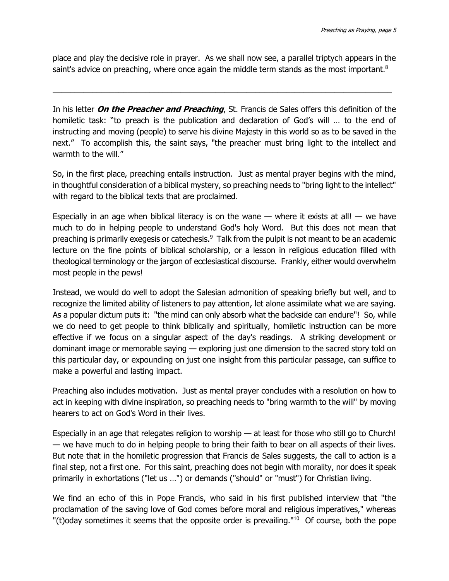place and play the decisive role in prayer. As we shall now see, a parallel triptych appears in the saint's advice on preaching, where once again the middle term stands as the most important. $8$ 

\_\_\_\_\_\_\_\_\_\_\_\_\_\_\_\_\_\_\_\_\_\_\_\_\_\_\_\_\_\_\_\_\_\_\_\_\_\_\_\_\_\_\_\_\_\_\_\_\_\_\_\_\_\_\_\_\_\_\_\_\_\_\_\_\_\_\_\_\_\_\_\_\_\_\_\_\_

In his letter **On the Preacher and Preaching**, St. Francis de Sales offers this definition of the homiletic task: "to preach is the publication and declaration of God's will … to the end of instructing and moving (people) to serve his divine Majesty in this world so as to be saved in the next." To accomplish this, the saint says, "the preacher must bring light to the intellect and warmth to the will."

So, in the first place, preaching entails instruction. Just as mental prayer begins with the mind, in thoughtful consideration of a biblical mystery, so preaching needs to "bring light to the intellect" with regard to the biblical texts that are proclaimed.

Especially in an age when biblical literacy is on the wane — where it exists at all! — we have much to do in helping people to understand God's holy Word. But this does not mean that preaching is primarily exegesis or catechesis.<sup>9</sup> Talk from the pulpit is not meant to be an academic lecture on the fine points of biblical scholarship, or a lesson in religious education filled with theological terminology or the jargon of ecclesiastical discourse. Frankly, either would overwhelm most people in the pews!

Instead, we would do well to adopt the Salesian admonition of speaking briefly but well, and to recognize the limited ability of listeners to pay attention, let alone assimilate what we are saying. As a popular dictum puts it: "the mind can only absorb what the backside can endure"! So, while we do need to get people to think biblically and spiritually, homiletic instruction can be more effective if we focus on a singular aspect of the day's readings. A striking development or dominant image or memorable saying — exploring just one dimension to the sacred story told on this particular day, or expounding on just one insight from this particular passage, can suffice to make a powerful and lasting impact.

Preaching also includes motivation. Just as mental prayer concludes with a resolution on how to act in keeping with divine inspiration, so preaching needs to "bring warmth to the will" by moving hearers to act on God's Word in their lives.

Especially in an age that relegates religion to worship — at least for those who still go to Church! — we have much to do in helping people to bring their faith to bear on all aspects of their lives. But note that in the homiletic progression that Francis de Sales suggests, the call to action is a final step, not a first one. For this saint, preaching does not begin with morality, nor does it speak primarily in exhortations ("let us …") or demands ("should" or "must") for Christian living.

We find an echo of this in Pope Francis, who said in his first published interview that "the proclamation of the saving love of God comes before moral and religious imperatives," whereas "(t) oday sometimes it seems that the opposite order is prevailing." $10$  Of course, both the pope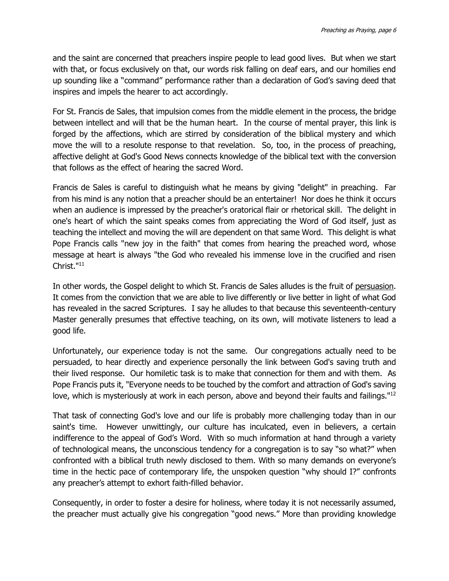and the saint are concerned that preachers inspire people to lead good lives. But when we start with that, or focus exclusively on that, our words risk falling on deaf ears, and our homilies end up sounding like a "command" performance rather than a declaration of God's saving deed that inspires and impels the hearer to act accordingly.

For St. Francis de Sales, that impulsion comes from the middle element in the process, the bridge between intellect and will that be the human heart. In the course of mental prayer, this link is forged by the affections, which are stirred by consideration of the biblical mystery and which move the will to a resolute response to that revelation. So, too, in the process of preaching, affective delight at God's Good News connects knowledge of the biblical text with the conversion that follows as the effect of hearing the sacred Word.

Francis de Sales is careful to distinguish what he means by giving "delight" in preaching. Far from his mind is any notion that a preacher should be an entertainer! Nor does he think it occurs when an audience is impressed by the preacher's oratorical flair or rhetorical skill. The delight in one's heart of which the saint speaks comes from appreciating the Word of God itself, just as teaching the intellect and moving the will are dependent on that same Word. This delight is what Pope Francis calls "new joy in the faith" that comes from hearing the preached word, whose message at heart is always "the God who revealed his immense love in the crucified and risen Christ."<sup>11</sup>

In other words, the Gospel delight to which St. Francis de Sales alludes is the fruit of persuasion. It comes from the conviction that we are able to live differently or live better in light of what God has revealed in the sacred Scriptures. I say he alludes to that because this seventeenth-century Master generally presumes that effective teaching, on its own, will motivate listeners to lead a good life.

Unfortunately, our experience today is not the same. Our congregations actually need to be persuaded, to hear directly and experience personally the link between God's saving truth and their lived response. Our homiletic task is to make that connection for them and with them. As Pope Francis puts it, "Everyone needs to be touched by the comfort and attraction of God's saving love, which is mysteriously at work in each person, above and beyond their faults and failings."<sup>12</sup>

That task of connecting God's love and our life is probably more challenging today than in our saint's time. However unwittingly, our culture has inculcated, even in believers, a certain indifference to the appeal of God's Word. With so much information at hand through a variety of technological means, the unconscious tendency for a congregation is to say "so what?" when confronted with a biblical truth newly disclosed to them. With so many demands on everyone's time in the hectic pace of contemporary life, the unspoken question "why should I?" confronts any preacher's attempt to exhort faith-filled behavior.

Consequently, in order to foster a desire for holiness, where today it is not necessarily assumed, the preacher must actually give his congregation "good news." More than providing knowledge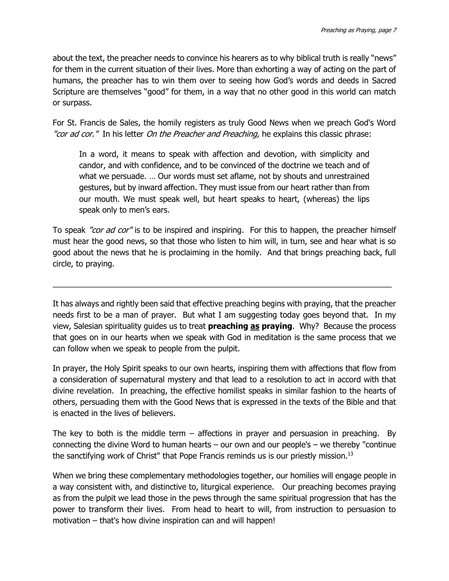about the text, the preacher needs to convince his hearers as to why biblical truth is really "news" for them in the current situation of their lives. More than exhorting a way of acting on the part of humans, the preacher has to win them over to seeing how God's words and deeds in Sacred Scripture are themselves "good" for them, in a way that no other good in this world can match or surpass.

For St. Francis de Sales, the homily registers as truly Good News when we preach God's Word "cor ad cor." In his letter On the Preacher and Preaching, he explains this classic phrase:

In a word, it means to speak with affection and devotion, with simplicity and candor, and with confidence, and to be convinced of the doctrine we teach and of what we persuade. … Our words must set aflame, not by shouts and unrestrained gestures, but by inward affection. They must issue from our heart rather than from our mouth. We must speak well, but heart speaks to heart, (whereas) the lips speak only to men's ears.

To speak "cor ad cor" is to be inspired and inspiring. For this to happen, the preacher himself must hear the good news, so that those who listen to him will, in turn, see and hear what is so good about the news that he is proclaiming in the homily. And that brings preaching back, full circle, to praying.

\_\_\_\_\_\_\_\_\_\_\_\_\_\_\_\_\_\_\_\_\_\_\_\_\_\_\_\_\_\_\_\_\_\_\_\_\_\_\_\_\_\_\_\_\_\_\_\_\_\_\_\_\_\_\_\_\_\_\_\_\_\_\_\_\_\_\_\_\_\_\_\_\_\_\_\_\_

It has always and rightly been said that effective preaching begins with praying, that the preacher needs first to be a man of prayer. But what I am suggesting today goes beyond that. In my view, Salesian spirituality guides us to treat **preaching as praying**. Why? Because the process that goes on in our hearts when we speak with God in meditation is the same process that we can follow when we speak to people from the pulpit.

In prayer, the Holy Spirit speaks to our own hearts, inspiring them with affections that flow from a consideration of supernatural mystery and that lead to a resolution to act in accord with that divine revelation. In preaching, the effective homilist speaks in similar fashion to the hearts of others, persuading them with the Good News that is expressed in the texts of the Bible and that is enacted in the lives of believers.

The key to both is the middle term  $-$  affections in prayer and persuasion in preaching. By connecting the divine Word to human hearts – our own and our people's – we thereby "continue the sanctifying work of Christ" that Pope Francis reminds us is our priestly mission.<sup>13</sup>

When we bring these complementary methodologies together, our homilies will engage people in a way consistent with, and distinctive to, liturgical experience. Our preaching becomes praying as from the pulpit we lead those in the pews through the same spiritual progression that has the power to transform their lives. From head to heart to will, from instruction to persuasion to motivation – that's how divine inspiration can and will happen!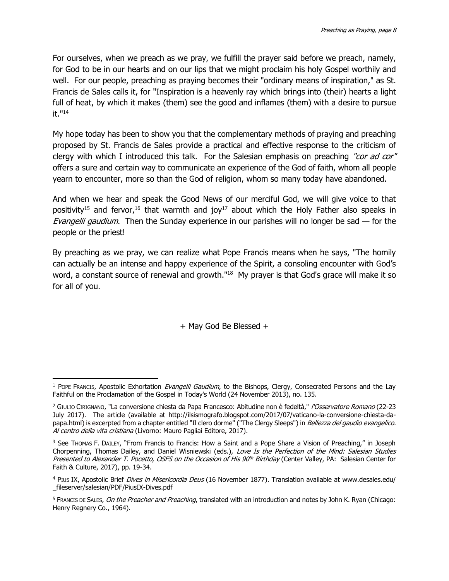For ourselves, when we preach as we pray, we fulfill the prayer said before we preach, namely, for God to be in our hearts and on our lips that we might proclaim his holy Gospel worthily and well. For our people, preaching as praying becomes their "ordinary means of inspiration," as St. Francis de Sales calls it, for "Inspiration is a heavenly ray which brings into (their) hearts a light full of heat, by which it makes (them) see the good and inflames (them) with a desire to pursue it." 14

My hope today has been to show you that the complementary methods of praying and preaching proposed by St. Francis de Sales provide a practical and effective response to the criticism of clergy with which I introduced this talk. For the Salesian emphasis on preaching "cor ad cor" offers a sure and certain way to communicate an experience of the God of faith, whom all people yearn to encounter, more so than the God of religion, whom so many today have abandoned.

And when we hear and speak the Good News of our merciful God, we will give voice to that positivity<sup>15</sup> and fervor,<sup>16</sup> that warmth and joy<sup>17</sup> about which the Holy Father also speaks in Evangelii gaudium. Then the Sunday experience in our parishes will no longer be sad  $-$  for the people or the priest!

By preaching as we pray, we can realize what Pope Francis means when he says, "The homily can actually be an intense and happy experience of the Spirit, a consoling encounter with God's word, a constant source of renewal and growth."<sup>18</sup> My prayer is that God's grace will make it so for all of you.

+ May God Be Blessed +

<sup>&</sup>lt;sup>1</sup> POPE FRANCIS, Apostolic Exhortation *Evangelii Gaudium*, to the Bishops, Clergy, Consecrated Persons and the Lay Faithful on the Proclamation of the Gospel in Today's World (24 November 2013), no. 135. l

<sup>&</sup>lt;sup>2</sup> GIULIO CIRIGNANO, "La conversione chiesta da Papa Francesco: Abitudine non è fedeltà," /'Osservatore Romano (22-23 July 2017). The article (available at http://ilsismografo.blogspot.com/2017/07/vaticano-la-conversione-chiesta-dapapa.html) is excerpted from a chapter entitled "Il clero dorme" ("The Clergy Sleeps") in Bellezza del gaudio evangelico. Al centro della vita cristiana (Livorno: Mauro Pagliai Editore, 2017).

<sup>&</sup>lt;sup>3</sup> See THOMAS F. DAILEY, "From Francis to Francis: How a Saint and a Pope Share a Vision of Preaching," in Joseph Chorpenning, Thomas Dailey, and Daniel Wisniewski (eds.), Love Is the Perfection of the Mind: Salesian Studies Presented to Alexander T. Pocetto, OSFS on the Occasion of His 90<sup>th</sup> Birthday (Center Valley, PA: Salesian Center for Faith & Culture, 2017), pp. 19-34.

<sup>4</sup> PIUS IX, Apostolic Brief Dives in Misericordia Deus (16 November 1877). Translation available at www.desales.edu/ \_fileserver/salesian/PDF/PiusIX-Dives.pdf

<sup>&</sup>lt;sup>5</sup> FRANCIS DE SALES, On the Preacher and Preaching, translated with an introduction and notes by John K. Ryan (Chicago: Henry Regnery Co., 1964).